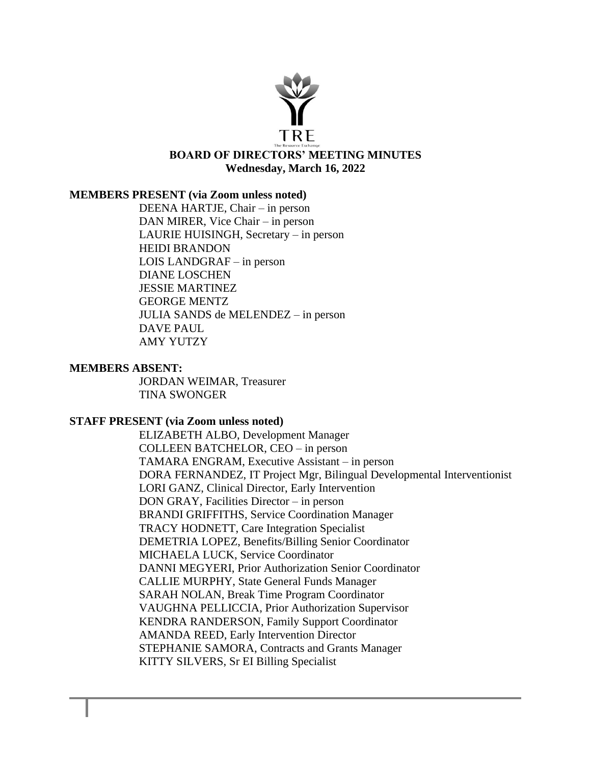

#### **MEMBERS PRESENT (via Zoom unless noted)**

DEENA HARTJE, Chair – in person DAN MIRER, Vice Chair – in person LAURIE HUISINGH, Secretary – in person HEIDI BRANDON LOIS LANDGRAF – in person DIANE LOSCHEN JESSIE MARTINEZ GEORGE MENTZ JULIA SANDS de MELENDEZ – in person DAVE PAUL AMY YUTZY

#### **MEMBERS ABSENT:**

JORDAN WEIMAR, Treasurer TINA SWONGER

#### **STAFF PRESENT (via Zoom unless noted)**

ELIZABETH ALBO, Development Manager COLLEEN BATCHELOR, CEO – in person TAMARA ENGRAM, Executive Assistant – in person DORA FERNANDEZ, IT Project Mgr, Bilingual Developmental Interventionist LORI GANZ, Clinical Director, Early Intervention DON GRAY, Facilities Director – in person BRANDI GRIFFITHS, Service Coordination Manager TRACY HODNETT, Care Integration Specialist DEMETRIA LOPEZ, Benefits/Billing Senior Coordinator MICHAELA LUCK, Service Coordinator DANNI MEGYERI, Prior Authorization Senior Coordinator CALLIE MURPHY, State General Funds Manager SARAH NOLAN, Break Time Program Coordinator VAUGHNA PELLICCIA, Prior Authorization Supervisor KENDRA RANDERSON, Family Support Coordinator AMANDA REED, Early Intervention Director STEPHANIE SAMORA, Contracts and Grants Manager KITTY SILVERS, Sr EI Billing Specialist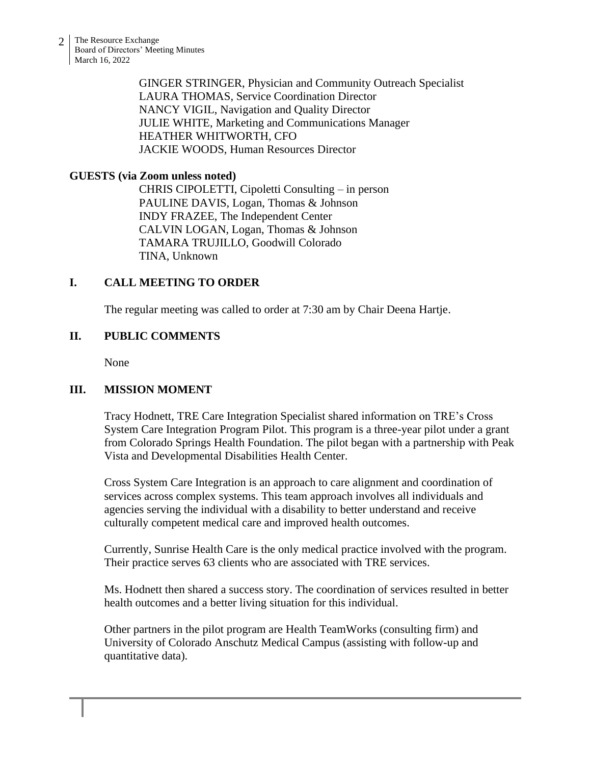2 The Resource Exchange Board of Directors' Meeting Minutes March 16, 2022

> GINGER STRINGER, Physician and Community Outreach Specialist LAURA THOMAS, Service Coordination Director NANCY VIGIL, Navigation and Quality Director JULIE WHITE, Marketing and Communications Manager HEATHER WHITWORTH, CFO JACKIE WOODS, Human Resources Director

### **GUESTS (via Zoom unless noted)**

CHRIS CIPOLETTI, Cipoletti Consulting – in person PAULINE DAVIS, Logan, Thomas & Johnson INDY FRAZEE, The Independent Center CALVIN LOGAN, Logan, Thomas & Johnson TAMARA TRUJILLO, Goodwill Colorado TINA, Unknown

### **I. CALL MEETING TO ORDER**

The regular meeting was called to order at 7:30 am by Chair Deena Hartje.

### **II. PUBLIC COMMENTS**

None

# **III. MISSION MOMENT**

Tracy Hodnett, TRE Care Integration Specialist shared information on TRE's Cross System Care Integration Program Pilot. This program is a three-year pilot under a grant from Colorado Springs Health Foundation. The pilot began with a partnership with Peak Vista and Developmental Disabilities Health Center.

Cross System Care Integration is an approach to care alignment and coordination of services across complex systems. This team approach involves all individuals and agencies serving the individual with a disability to better understand and receive culturally competent medical care and improved health outcomes.

Currently, Sunrise Health Care is the only medical practice involved with the program. Their practice serves 63 clients who are associated with TRE services.

Ms. Hodnett then shared a success story. The coordination of services resulted in better health outcomes and a better living situation for this individual.

Other partners in the pilot program are Health TeamWorks (consulting firm) and University of Colorado Anschutz Medical Campus (assisting with follow-up and quantitative data).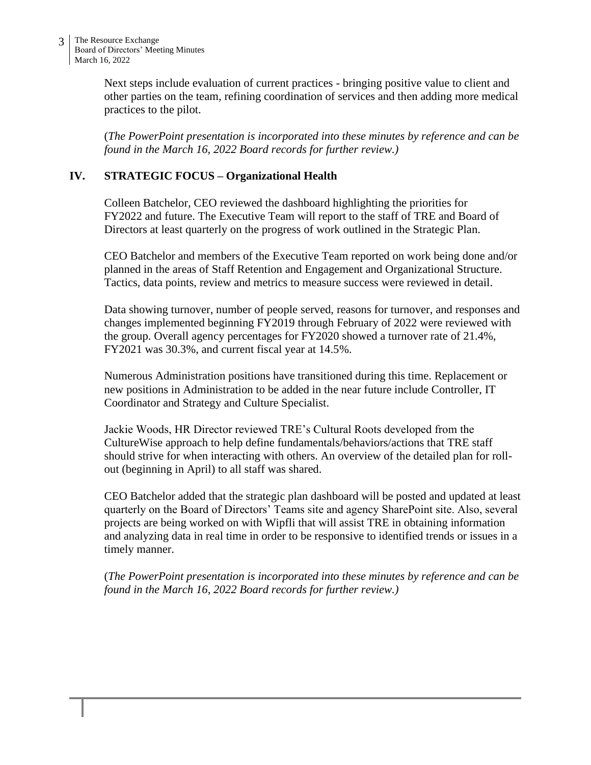Next steps include evaluation of current practices - bringing positive value to client and other parties on the team, refining coordination of services and then adding more medical practices to the pilot.

(*The PowerPoint presentation is incorporated into these minutes by reference and can be found in the March 16, 2022 Board records for further review.)*

# **IV. STRATEGIC FOCUS – Organizational Health**

Colleen Batchelor, CEO reviewed the dashboard highlighting the priorities for FY2022 and future. The Executive Team will report to the staff of TRE and Board of Directors at least quarterly on the progress of work outlined in the Strategic Plan.

CEO Batchelor and members of the Executive Team reported on work being done and/or planned in the areas of Staff Retention and Engagement and Organizational Structure. Tactics, data points, review and metrics to measure success were reviewed in detail.

Data showing turnover, number of people served, reasons for turnover, and responses and changes implemented beginning FY2019 through February of 2022 were reviewed with the group. Overall agency percentages for FY2020 showed a turnover rate of 21.4%, FY2021 was 30.3%, and current fiscal year at 14.5%.

Numerous Administration positions have transitioned during this time. Replacement or new positions in Administration to be added in the near future include Controller, IT Coordinator and Strategy and Culture Specialist.

Jackie Woods, HR Director reviewed TRE's Cultural Roots developed from the CultureWise approach to help define fundamentals/behaviors/actions that TRE staff should strive for when interacting with others. An overview of the detailed plan for rollout (beginning in April) to all staff was shared.

CEO Batchelor added that the strategic plan dashboard will be posted and updated at least quarterly on the Board of Directors' Teams site and agency SharePoint site. Also, several projects are being worked on with Wipfli that will assist TRE in obtaining information and analyzing data in real time in order to be responsive to identified trends or issues in a timely manner.

(*The PowerPoint presentation is incorporated into these minutes by reference and can be found in the March 16, 2022 Board records for further review.)*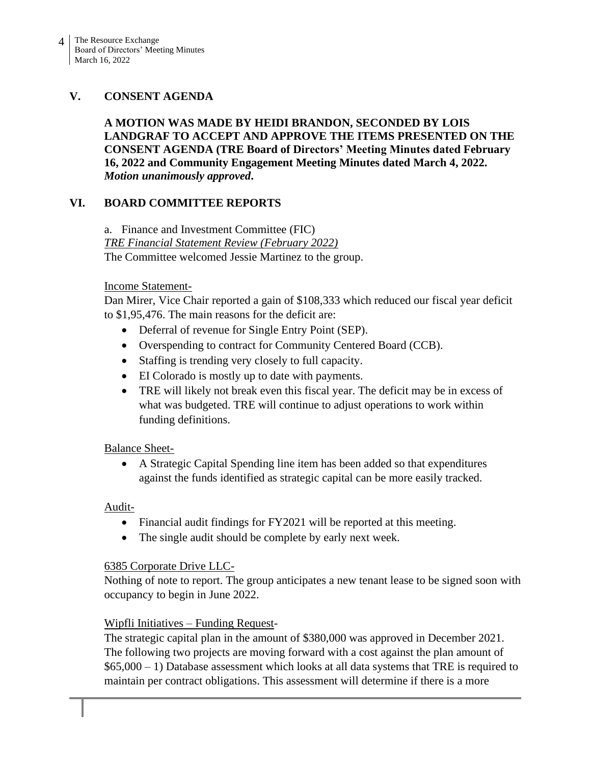# **V. CONSENT AGENDA**

**A MOTION WAS MADE BY HEIDI BRANDON, SECONDED BY LOIS LANDGRAF TO ACCEPT AND APPROVE THE ITEMS PRESENTED ON THE CONSENT AGENDA (TRE Board of Directors' Meeting Minutes dated February 16, 2022 and Community Engagement Meeting Minutes dated March 4, 2022.** *Motion unanimously approved***.**

# **VI. BOARD COMMITTEE REPORTS**

a. Finance and Investment Committee (FIC) *TRE Financial Statement Review (February 2022)* The Committee welcomed Jessie Martinez to the group.

### Income Statement-

Dan Mirer, Vice Chair reported a gain of \$108,333 which reduced our fiscal year deficit to \$1,95,476. The main reasons for the deficit are:

- Deferral of revenue for Single Entry Point (SEP).
- Overspending to contract for Community Centered Board (CCB).
- Staffing is trending very closely to full capacity.
- EI Colorado is mostly up to date with payments.
- TRE will likely not break even this fiscal year. The deficit may be in excess of what was budgeted. TRE will continue to adjust operations to work within funding definitions.

Balance Sheet-

• A Strategic Capital Spending line item has been added so that expenditures against the funds identified as strategic capital can be more easily tracked.

Audit-

- Financial audit findings for FY2021 will be reported at this meeting.
- The single audit should be complete by early next week.

# 6385 Corporate Drive LLC-

Nothing of note to report. The group anticipates a new tenant lease to be signed soon with occupancy to begin in June 2022.

# Wipfli Initiatives – Funding Request-

The strategic capital plan in the amount of \$380,000 was approved in December 2021. The following two projects are moving forward with a cost against the plan amount of \$65,000 – 1) Database assessment which looks at all data systems that TRE is required to maintain per contract obligations. This assessment will determine if there is a more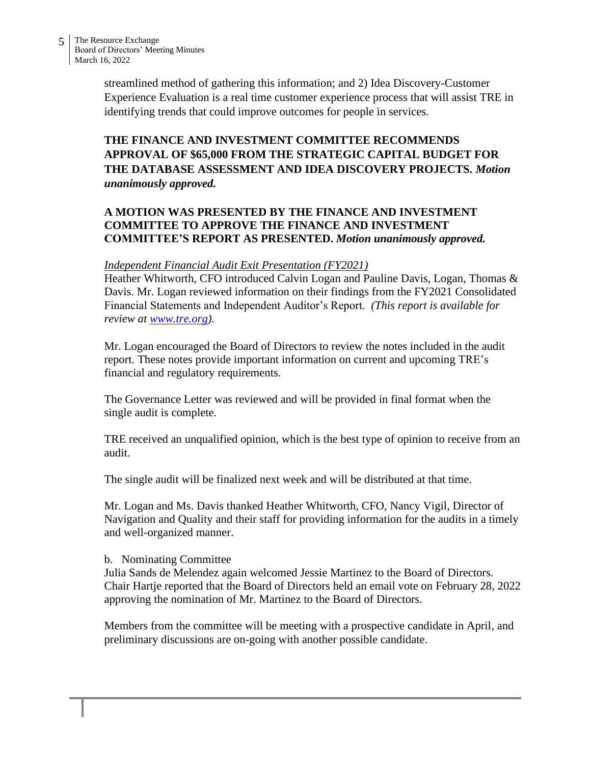streamlined method of gathering this information; and 2) Idea Discovery-Customer Experience Evaluation is a real time customer experience process that will assist TRE in identifying trends that could improve outcomes for people in services.

# **THE FINANCE AND INVESTMENT COMMITTEE RECOMMENDS APPROVAL OF \$65,000 FROM THE STRATEGIC CAPITAL BUDGET FOR THE DATABASE ASSESSMENT AND IDEA DISCOVERY PROJECTS.** *Motion unanimously approved.*

# **A MOTION WAS PRESENTED BY THE FINANCE AND INVESTMENT COMMITTEE TO APPROVE THE FINANCE AND INVESTMENT COMMITTEE'S REPORT AS PRESENTED.** *Motion unanimously approved.*

### *Independent Financial Audit Exit Presentation (FY2021)*

Heather Whitworth, CFO introduced Calvin Logan and Pauline Davis, Logan, Thomas & Davis. Mr. Logan reviewed information on their findings from the FY2021 Consolidated Financial Statements and Independent Auditor's Report. *(This report is available for review at [www.tre.org\)](http://www.tre.org/).*

Mr. Logan encouraged the Board of Directors to review the notes included in the audit report. These notes provide important information on current and upcoming TRE's financial and regulatory requirements.

The Governance Letter was reviewed and will be provided in final format when the single audit is complete.

TRE received an unqualified opinion, which is the best type of opinion to receive from an audit.

The single audit will be finalized next week and will be distributed at that time.

Mr. Logan and Ms. Davis thanked Heather Whitworth, CFO, Nancy Vigil, Director of Navigation and Quality and their staff for providing information for the audits in a timely and well-organized manner.

### b. Nominating Committee

Julia Sands de Melendez again welcomed Jessie Martinez to the Board of Directors. Chair Hartje reported that the Board of Directors held an email vote on February 28, 2022 approving the nomination of Mr. Martinez to the Board of Directors.

Members from the committee will be meeting with a prospective candidate in April, and preliminary discussions are on-going with another possible candidate.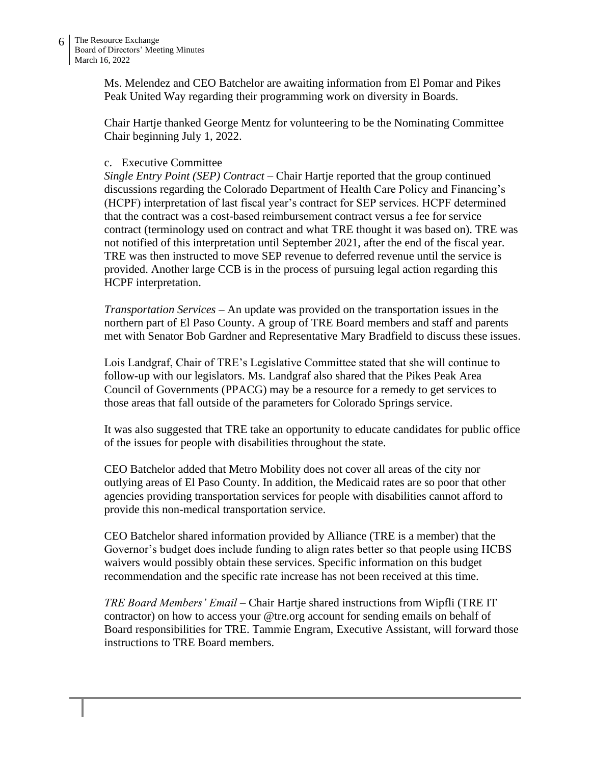Ms. Melendez and CEO Batchelor are awaiting information from El Pomar and Pikes Peak United Way regarding their programming work on diversity in Boards.

Chair Hartje thanked George Mentz for volunteering to be the Nominating Committee Chair beginning July 1, 2022.

### c. Executive Committee

*Single Entry Point (SEP) Contract –* Chair Hartje reported that the group continued discussions regarding the Colorado Department of Health Care Policy and Financing's (HCPF) interpretation of last fiscal year's contract for SEP services. HCPF determined that the contract was a cost-based reimbursement contract versus a fee for service contract (terminology used on contract and what TRE thought it was based on). TRE was not notified of this interpretation until September 2021, after the end of the fiscal year. TRE was then instructed to move SEP revenue to deferred revenue until the service is provided. Another large CCB is in the process of pursuing legal action regarding this HCPF interpretation.

*Transportation Services –* An update was provided on the transportation issues in the northern part of El Paso County. A group of TRE Board members and staff and parents met with Senator Bob Gardner and Representative Mary Bradfield to discuss these issues.

Lois Landgraf, Chair of TRE's Legislative Committee stated that she will continue to follow-up with our legislators. Ms. Landgraf also shared that the Pikes Peak Area Council of Governments (PPACG) may be a resource for a remedy to get services to those areas that fall outside of the parameters for Colorado Springs service.

It was also suggested that TRE take an opportunity to educate candidates for public office of the issues for people with disabilities throughout the state.

CEO Batchelor added that Metro Mobility does not cover all areas of the city nor outlying areas of El Paso County. In addition, the Medicaid rates are so poor that other agencies providing transportation services for people with disabilities cannot afford to provide this non-medical transportation service.

CEO Batchelor shared information provided by Alliance (TRE is a member) that the Governor's budget does include funding to align rates better so that people using HCBS waivers would possibly obtain these services. Specific information on this budget recommendation and the specific rate increase has not been received at this time.

*TRE Board Members' Email* – Chair Hartje shared instructions from Wipfli (TRE IT contractor) on how to access your @tre.org account for sending emails on behalf of Board responsibilities for TRE. Tammie Engram, Executive Assistant, will forward those instructions to TRE Board members.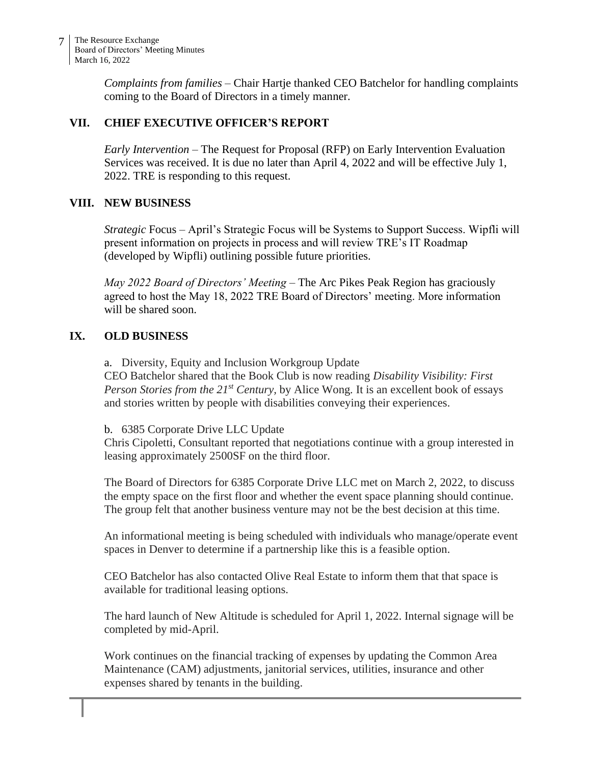*Complaints from families* – Chair Hartje thanked CEO Batchelor for handling complaints coming to the Board of Directors in a timely manner.

# **VII. CHIEF EXECUTIVE OFFICER'S REPORT**

*Early Intervention* – The Request for Proposal (RFP) on Early Intervention Evaluation Services was received. It is due no later than April 4, 2022 and will be effective July 1, 2022. TRE is responding to this request.

# **VIII. NEW BUSINESS**

*Strategic* Focus – April's Strategic Focus will be Systems to Support Success. Wipfli will present information on projects in process and will review TRE's IT Roadmap (developed by Wipfli) outlining possible future priorities.

*May 2022 Board of Directors' Meeting* – The Arc Pikes Peak Region has graciously agreed to host the May 18, 2022 TRE Board of Directors' meeting. More information will be shared soon.

# **IX. OLD BUSINESS**

a. Diversity, Equity and Inclusion Workgroup Update CEO Batchelor shared that the Book Club is now reading *Disability Visibility: First Person Stories from the 21st Century,* by Alice Wong*.* It is an excellent book of essays and stories written by people with disabilities conveying their experiences.

### b. 6385 Corporate Drive LLC Update

Chris Cipoletti, Consultant reported that negotiations continue with a group interested in leasing approximately 2500SF on the third floor.

The Board of Directors for 6385 Corporate Drive LLC met on March 2, 2022, to discuss the empty space on the first floor and whether the event space planning should continue. The group felt that another business venture may not be the best decision at this time.

An informational meeting is being scheduled with individuals who manage/operate event spaces in Denver to determine if a partnership like this is a feasible option.

CEO Batchelor has also contacted Olive Real Estate to inform them that that space is available for traditional leasing options.

The hard launch of New Altitude is scheduled for April 1, 2022. Internal signage will be completed by mid-April.

Work continues on the financial tracking of expenses by updating the Common Area Maintenance (CAM) adjustments, janitorial services, utilities, insurance and other expenses shared by tenants in the building.